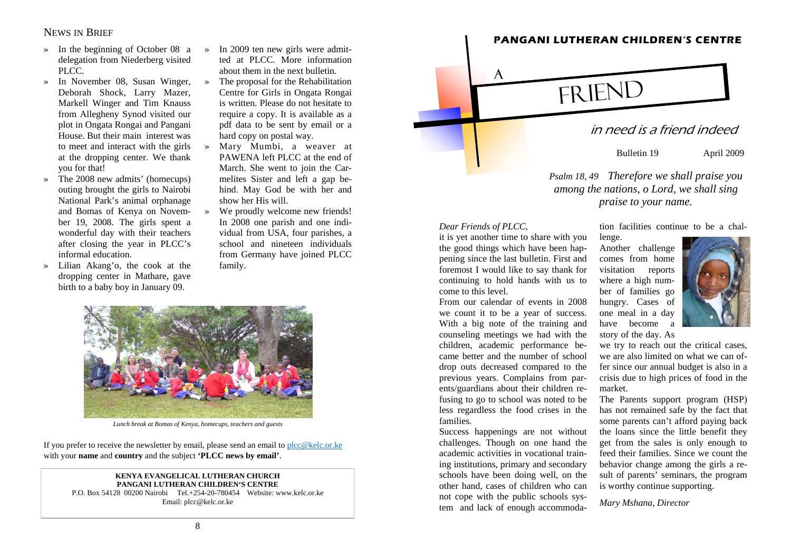# NEWS IN BRIEF

- » In the beginning of October 08 a delegation from Niederberg visited PLCC.
- » In November 08, Susan Winger, Deborah Shock, Larry Mazer, Markell Winger and Tim Knauss from Allegheny Synod visited our plot in Ongata Rongai and Pangani House. But their main interest was to meet and interact with the girls at the dropping center. We thank you for that!
- » The 2008 new admits' (homecups) outing brought the girls to Nairobi National Park's animal orphanage and Bomas of Kenya on November 19, 2008. The girls spent a wonderful day with their teachers after closing the year in PLCC's informal education.
- » Lilian Akang'o, the cook at the dropping center in Mathare, gave birth to a baby boy in January 09.
- » In 2009 ten new girls were admitted at PLCC. More information about them in the next bulletin.
- » The proposal for the Rehabilitation Centre for Girls in Ongata Rongai is written. Please do not hesitate to require a copy. It is available as a pdf data to be sent by email or a hard copy on postal way.
- » Mary Mumbi, a weaver at PAWENA left PLCC at the end of March. She went to join the Carmelites Sister and left a gap behind. May God be with her and show her His will.
- » We proudly welcome new friends! In 2008 one parish and one individual from USA, four parishes, a school and nineteen individuals from Germany have joined PLCC family.



*Lunch break at Bomas of Kenya, homecups, teachers and guests* 

If you prefer to receive the newsletter by email, please send an email to  $plcc@kelc.$ or.ke with your **name** and **country** and the subject **'PLCC news by email'**.

#### **KENYA EVANGELICAL LUTHERAN CHURCH PANGANI LUTHERAN CHILDREN'S CENTRE**

P.O. Box 54128 00200 Nairobi Tel.+254-20-780454 Website: www.kelc.or.ke Email: plcc@kelc.or.ke



**PANGANI LUTHERAN CHILDREN'S CENTRE** 

Bulletin 19 April 2009

tion facilities continue to be a chal-

*Psalm 18, 49 Therefore we shall praise you among the nations, o Lord, we shall sing praise to your name.* 

### *Dear Friends of PLCC*,

it is yet another time to share with you the good things which have been happening since the last bulletin. First and foremost I would like to say thank for continuing to hold hands with us to come to this level.

From our calendar of events in 2008 we count it to be a year of success. With a big note of the training and counseling meetings we had with the children, academic performance became better and the number of school drop outs decreased compared to the previous years. Complains from parents/guardians about their children refusing to go to school was noted to be less regardless the food crises in the families.

Success happenings are not without challenges. Though on one hand the academic activities in vocational training institutions, primary and secondary schools have been doing well, on the other hand, cases of children who can not cope with the public schools system and lack of enough accommodalenge.<br>
Another challenge<br>
comes from home<br>
visitation reports<br>
where a high num-



ber of families go<br>hungry. Cases of<br>one meal in a day<br>have become a<br>story of the day. As<br>we try to reach out the critical cases,<br>we are also limited on what we can of-

fer since our annual budget is also in a<br>crisis due to high prices of food in the<br>market.<br>The Parents support program (HSP)<br>has not remained safe by the fact that<br>some parents can't afford paying back<br>the loans since the l sult of parents' seminars, the program is worthy continue supporting.

*Mary Mshana, Director*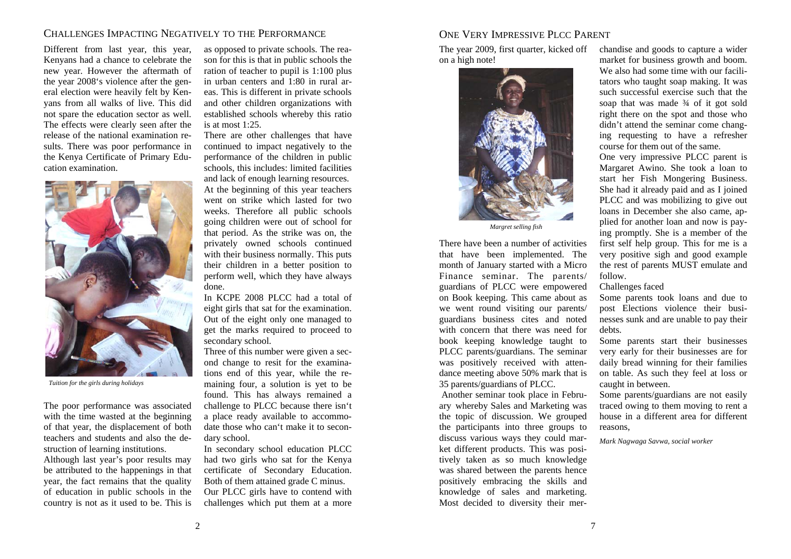### CHALLENGES IMPACTING NEGATIVELY TO THE PERFORMANCE

Different from last year, this year, Kenyans had a chance to celebrate the new year. However the aftermath of the year 2008's violence after the general election were heavily felt by Kenyans from all walks of live. This did not spare the education sector as well. The effects were clearly seen after the release of the national examination results. There was poor performance in the Kenya Certificate of Primary Education examination.



*Tuition for the girls during holidays* 

The poor performance was associated with the time wasted at the beginning of that year, the displacement of both teachers and students and also the destruction of learning institutions.

Although last year's poor results may be attributed to the happenings in that year, the fact remains that the quality of education in public schools in the country is not as it used to be. This is

as opposed to private schools. The reason for this is that in public schools the ration of teacher to pupil is 1:100 plus in urban centers and 1:80 in rural areas. This is different in private schools and other children organizations with established schools whereby this ratio is at most 1:25.

There are other challenges that have continued to impact negatively to the performance of the children in public schools, this includes: limited facilities and lack of enough learning resources. At the beginning of this year teachers went on strike which lasted for two weeks. Therefore all public schools going children were out of school for that period. As the strike was on, the privately owned schools continued with their business normally. This puts their children in a better position to perform well, which they have always done.

In KCPE 2008 PLCC had a total of eight girls that sat for the examination. Out of the eight only one managed to get the marks required to proceed to secondary school.

Three of this number were given a second change to resit for the examinations end of this year, while the remaining four, a solution is yet to be found. This has always remained a challenge to PLCC because there isn't a place ready available to accommodate those who can't make it to secondary school.

In secondary school education PLCC had two girls who sat for the Kenya certificate of Secondary Education. Both of them attained grade C minus. Our PLCC girls have to contend with challenges which put them at a more

# ONE VERY IMPRESSIVE PLCC PARENT

The year 2009, first quarter, kicked off on a high note!



There have been a number of activities that have been implemented. The month of January started with a Micro Finance seminar. The parents/ guardians of PLCC were empowered on Book keeping. This came about as we went round visiting our parents/ guardians business cites and noted with concern that there was need for book keeping knowledge taught to PLCC parents/guardians. The seminar was positively received with attendance meeting above 50% mark that is 35 parents/guardians of PLCC. Margret selling fish<br>
ing promptly. She is a member of the<br>
een a number of activities first self help group. This for me is a<br>
been a mumber of activities first self help group. This for me is a<br>
een implemented. The par

 Another seminar took place in February whereby Sales and Marketing was the topic of discussion. We grouped the participants into three groups to discuss various ways they could market different products. This was positively taken as so much knowledge was shared between the parents hence positively embracing the skills and knowledge of sales and marketing. Most decided to diversity their merchandise and goods to capture a wider market for business growth and boom. We also had some time with our facilitators who taught soap making. It was such successful exercise such that the soap that was made  $\frac{3}{4}$  of it got sold right there on the spot and those who didn't attend the seminar come changing requesting to have a r

course for them out of the same.<br>One very impressive PLCC parent is<br>Margaret Awino. She took a loan to<br>start her Fish Mongering Business.<br>She had it already paid and as I joined<br>PLCC and was mobilizing to give out<br>loans in plied for another loan and now is pay ing promptly. She is a member of the<br>first self help group. This for me is a<br>very positive sigh and good example<br>the rest of parents MUST emulate and<br>follow.<br>Challenges faced<br>Some parents took loans and due to<br>post Electio

2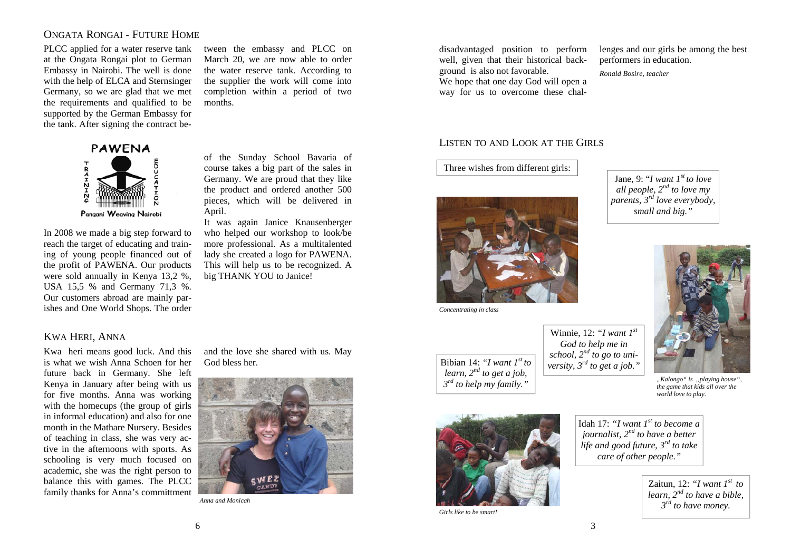# ONGATA RONGAI - FUTURE HOME

PLCC applied for a water reserve tank at the Ongata Rongai plot to German Embassy in Nairobi. The well is done with the help of ELCA and Sternsinger Germany, so we are glad that we met the requirements and qualified to be supported by the German Embassy for the tank. After signing the contract be-

> **PAWENA**  $72HZHB7$ Pangani Weaving Nairobi

In 2008 we made a big step forward to reach the target of educating and training of young people financed out of the profit of PAWENA. Our products were sold annually in Kenya 13,2 %, USA 15,5 % and Germany 71,3 %. Our customers abroad are mainly parishes and One World Shops. The order

KWA HERI, ANNA

Kwa heri means good luck. And this is what we wish Anna Schoen for her future back in Germany. She left Kenya in January after being with us for five months. Anna was working with the homecups (the group of girls in informal education) and also for one month in the Mathare Nursery. Besides of teaching in class, she was very active in the afternoons with sports. As schooling is very much focused on academic, she was the right person to balance this with games. The PLCC family thanks for Anna's committment

and the love she shared with us. May God bless her.

tween the embassy and PLCC on March 20, we are now able to order the water reserve tank. According to the supplier the work will come into completion within a period of two months.

of the Sunday School Bavaria of course takes a big part of the sales in Germany. We are proud that they like the product and ordered another 500 pieces, which will be delivered in

It was again Janice Knausenberger who helped our workshop to look/be more professional. As a multitalented lady she created a logo for PAWENA. This will help us to be recognized. A

big THANK YOU to Janice!



*Anna and Monicah* 

April.

disadvantaged position to perform well, given that their historical background is also not favorable. We hope that one day God will open a way for us to overcome these challenges and our girls be among the best performers in education.

*Ronald Bosire, teacher* 

### LISTEN TO AND LOOK AT THE GIRLS

Three wishes from different girls:



*Concentrating in class* 

Bibian 14: *"I want 1st to learn, 2nd to get a job, 3rd to help my family."* 

Jane, 9: "*I want 1st to love all people, 2nd to love my parents, 3rd love everybody, small and big."* 



*"Kalongo" is "playing house", the game that kids all over the world love to play.* 



*Girls like to be smart!* 

Idah 17: "I want  $I^{st}$  to become a *journalist, 2nd to have a better life and good future, 3rd to take care of other people."* 

> Zaitun, 12: *"I want 1st to learn, 2nd to have a bible, 3rd to have money.*

6

3

Winnie, 12: *"I want 1st God to help me in school, 2nd to go to university, 3rd to get a job."*